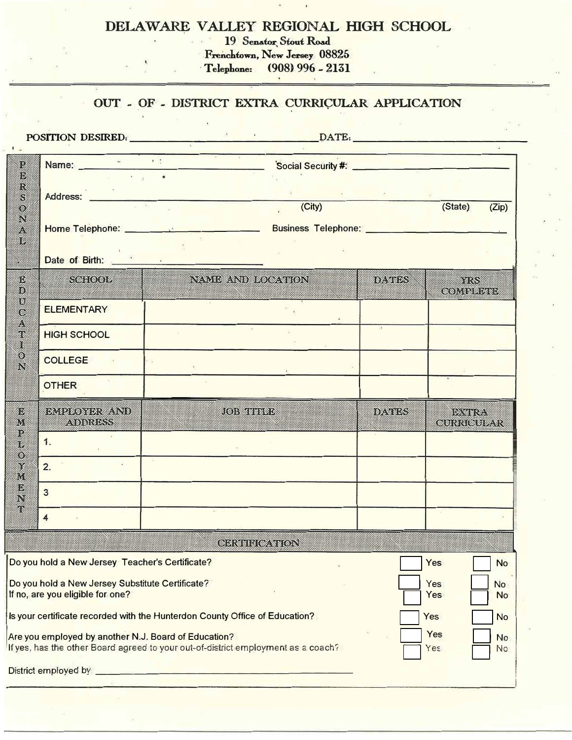## **DELAWARE VALLEY REGIONAL HIGH SCHOOL**

**19 Senator**, Stout Road **Frenchtown, New Jersey 08825**

**• T elep1.one: (908) 996 - 2131**

## **OUT - OF - DISTRICT EXTRA CURRIÇULAR APPLICATION**

.

**.** 

| POSITION DESIRED.<br>$\mathbf{A}$                                                                                                                                          |                              |                                                                                                                                                                                                                                      |        |          |                             |       |  |
|----------------------------------------------------------------------------------------------------------------------------------------------------------------------------|------------------------------|--------------------------------------------------------------------------------------------------------------------------------------------------------------------------------------------------------------------------------------|--------|----------|-----------------------------|-------|--|
| $\mathbf{F}$ is:<br>12<br>Ø.                                                                                                                                               |                              | Name: Name: Web Social Security #:                                                                                                                                                                                                   |        |          |                             |       |  |
| R<br>S<br>O.                                                                                                                                                               |                              | Address: <u>Address: Address: Address: Address: Address: Address: Address: Address: Address: Address: Address: Address: Address: Address: Address: Address: Address: Address: Address: Address: Address: Address: Address: Addre</u> | (City) |          | (State)                     | (Zip) |  |
| Ñ<br>B.<br>56                                                                                                                                                              |                              |                                                                                                                                                                                                                                      |        |          |                             |       |  |
| ▓                                                                                                                                                                          | Date of Birth: New York 1989 |                                                                                                                                                                                                                                      |        |          |                             |       |  |
| O.<br>O<br>D<br>c<br>W<br>T<br>18<br>Ñ<br>D.<br>M<br>R<br>$\circ$<br>X<br>M<br>O.<br>ŗ                                                                                     | <b>SGHOOL</b>                | NAME AND LOCATION                                                                                                                                                                                                                    |        | idayidan | e a con<br><b>GOMBARY</b>   |       |  |
|                                                                                                                                                                            | <b>ELEMENTARY</b>            |                                                                                                                                                                                                                                      |        |          |                             |       |  |
|                                                                                                                                                                            | <b>HIGH SCHOOL</b>           | 第二                                                                                                                                                                                                                                   |        |          |                             |       |  |
|                                                                                                                                                                            | <b>COLLEGE</b>               |                                                                                                                                                                                                                                      |        |          |                             |       |  |
|                                                                                                                                                                            | <b>OTHER</b>                 |                                                                                                                                                                                                                                      |        |          |                             |       |  |
|                                                                                                                                                                            | BMPFONDRWAND.<br>ADDRESS     | <b>COSTREED</b>                                                                                                                                                                                                                      |        | davides  | <b>BERGER</b><br>GURRIGUL.R |       |  |
|                                                                                                                                                                            | 1.                           |                                                                                                                                                                                                                                      |        |          |                             |       |  |
|                                                                                                                                                                            | 2.                           | $\ddot{\phantom{a}}$                                                                                                                                                                                                                 |        |          |                             |       |  |
|                                                                                                                                                                            | $\overline{3}$               | $\mathcal{R}$                                                                                                                                                                                                                        |        |          |                             |       |  |
|                                                                                                                                                                            | $\overline{\mathbf{4}}$      |                                                                                                                                                                                                                                      |        |          |                             |       |  |
| <b>GERIHHCATION</b>                                                                                                                                                        |                              |                                                                                                                                                                                                                                      |        |          |                             |       |  |
| Do you hold a New Jersey Teacher's Certificate?<br>Yes<br><b>No</b>                                                                                                        |                              |                                                                                                                                                                                                                                      |        |          |                             |       |  |
| Do you hold a New Jersey Substitute Certificate?<br>Yes<br><b>No</b><br>If no, are you eligible for one?<br>Yes<br><b>No</b>                                               |                              |                                                                                                                                                                                                                                      |        |          |                             |       |  |
| Is your certificate recorded with the Hunterdon County Office of Education?<br>Yes<br><b>No</b>                                                                            |                              |                                                                                                                                                                                                                                      |        |          |                             |       |  |
| Yes<br>Are you employed by another N.J. Board of Education?<br><b>No</b><br>If yes, has the other Board agreed to your out-of-district employment as a coach?<br>Yes<br>No |                              |                                                                                                                                                                                                                                      |        |          |                             |       |  |
|                                                                                                                                                                            |                              |                                                                                                                                                                                                                                      |        |          |                             |       |  |